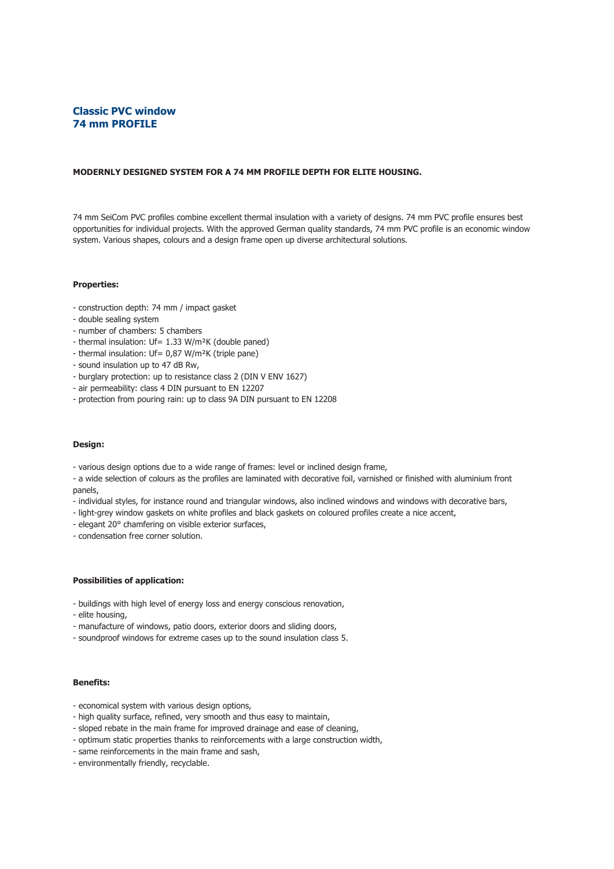# **Classic PVC window 74 mm PROFILE**

#### **MODERNLY DESIGNED SYSTEM FOR A 74 MM PROFILE DEPTH FOR ELITE HOUSING.**

74 mm SeiCom PVC profiles combine excellent thermal insulation with a variety of designs. 74 mm PVC profile ensures best opportunities for individual projects. With the approved German quality standards, 74 mm PVC profile is an economic window system. Various shapes, colours and a design frame open up diverse architectural solutions.

#### **Properties:**

- construction depth: 74 mm / impact gasket
- double sealing system
- number of chambers: 5 chambers
- thermal insulation: Uf= 1.33 W/m<sup>2</sup>K (double paned)
- thermal insulation: Uf= 0,87 W/m<sup>2</sup>K (triple pane)
- sound insulation up to 47 dB Rw,
- burglary protection: up to resistance class 2 (DIN V ENV 1627)
- air permeability: class 4 DIN pursuant to EN 12207
- protection from pouring rain: up to class 9A DIN pursuant to EN 12208

## **Design:**

- various design options due to a wide range of frames: level or inclined design frame,
- a wide selection of colours as the profiles are laminated with decorative foil, varnished or finished with aluminium front panels,
- individual styles, for instance round and triangular windows, also inclined windows and windows with decorative bars,
- light-grey window gaskets on white profiles and black gaskets on coloured profiles create a nice accent,
- elegant 20° chamfering on visible exterior surfaces,
- condensation free corner solution.

## **Possibilities of application:**

- buildings with high level of energy loss and energy conscious renovation,
- elite housing,
- manufacture of windows, patio doors, exterior doors and sliding doors,
- soundproof windows for extreme cases up to the sound insulation class 5.

## **Benefits:**

- economical system with various design options,
- high quality surface, refined, very smooth and thus easy to maintain,
- sloped rebate in the main frame for improved drainage and ease of cleaning,
- optimum static properties thanks to reinforcements with a large construction width,
- same reinforcements in the main frame and sash,
- environmentally friendly, recyclable.